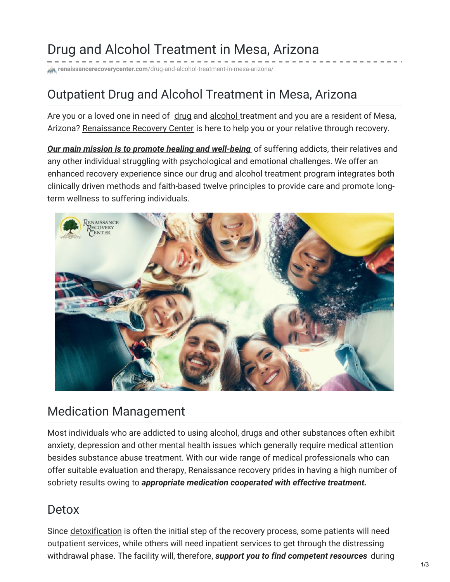# Drug and Alcohol Treatment in Mesa, Arizona

**ycenter.com**[/drug-and-alcohol-treatment-in-mesa-arizona/](https://www.renaissancerecoverycenter.com/drug-and-alcohol-treatment-in-mesa-arizona/)

### Outpatient Drug and Alcohol Treatment in Mesa, Arizona

Are you or a loved one in need of [drug](https://www.renaissancerecoverycenter.com/arizona-drug-rehabilitation/) and [alcohol](https://www.renaissancerecoverycenter.com/outpatient-treatment/) treatment and you are a resident of Mesa, Arizona? [Renaissance](https://www.renaissancerecoverycenter.com/) Recovery Center is here to help you or your relative through recovery.

*Our main mission is to promote healing and [well-being](https://www.renaissancerecoverycenter.com/about-us/the-renaissance-recovery-difference/)* of suffering addicts, their relatives and any other individual struggling with psychological and emotional challenges. We offer an enhanced recovery experience since our drug and alcohol treatment program integrates both clinically driven methods and [faith-based](https://www.renaissancerecoverycenter.com/about-us/spiritual-topics/) twelve principles to provide care and promote longterm wellness to suffering individuals.



#### Medication Management

Most individuals who are addicted to using alcohol, drugs and other substances often exhibit anxiety, depression and other [mental](https://www.renaissancerecoverycenter.com/mental-health-and-dual-diagnosis/) health issues which generally require medical attention besides substance abuse treatment. With our wide range of medical professionals who can offer suitable evaluation and therapy, Renaissance recovery prides in having a high number of sobriety results owing to *appropriate medication cooperated with effective treatment.*

#### **Detox**

Since [detoxification](https://www.renaissancerecoverycenter.com/detox/) is often the initial step of the recovery process, some patients will need outpatient services, while others will need inpatient services to get through the distressing withdrawal phase. The facility will, therefore, *support you to find competent resources* during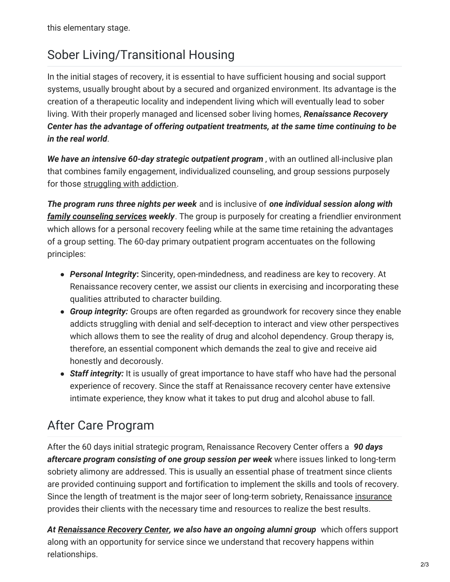this elementary stage.

# Sober Living/Transitional Housing

In the initial stages of recovery, it is essential to have sufficient housing and social support systems, usually brought about by a secured and organized environment. Its advantage is the creation of a therapeutic locality and independent living which will eventually lead to sober living. With their properly managed and licensed sober living homes, *Renaissance Recovery Center has the advantage of offering outpatient treatments, at the same time continuing to be in the real world*.

*We have an intensive 60-day strategic outpatient program* , with an outlined all-inclusive plan that combines family engagement, individualized counseling, and group sessions purposely for those [struggling](https://www.renaissancerecoverycenter.com/about-us/the-disease-model-of-addiction/) with addiction.

*The program runs three nights per week* and is inclusive of *one individual session along with family [counseling](https://www.renaissancerecoverycenter.com/family-program/) services weekly*. The group is purposely for creating a friendlier environment which allows for a personal recovery feeling while at the same time retaining the advantages of a group setting. The 60-day primary outpatient program accentuates on the following principles:

- *Personal Integrity***:** Sincerity, open-mindedness, and readiness are key to recovery. At Renaissance recovery center, we assist our clients in exercising and incorporating these qualities attributed to character building.
- *Group integrity:* Groups are often regarded as groundwork for recovery since they enable addicts struggling with denial and self-deception to interact and view other perspectives which allows them to see the reality of drug and alcohol dependency. Group therapy is, therefore, an essential component which demands the zeal to give and receive aid honestly and decorously.
- *Staff integrity:* It is usually of great importance to have staff who have had the personal experience of recovery. Since the staff at Renaissance recovery center have extensive intimate experience, they know what it takes to put drug and alcohol abuse to fall.

# After Care Program

After the 60 days initial strategic program, Renaissance Recovery Center offers a *90 days aftercare program consisting of one group session per week* where issues linked to long-term sobriety alimony are addressed. This is usually an essential phase of treatment since clients are provided continuing support and fortification to implement the skills and tools of recovery. Since the length of treatment is the major seer of long-term sobriety, Renaissance [insurance](https://www.renaissancerecoverycenter.com/insurance-coverage-for-addiction-treatment/) provides their clients with the necessary time and resources to realize the best results.

*At [Renaissance](https://www.renaissancerecoverycenter.com/) Recovery Center, we also have an ongoing alumni group* which offers support along with an opportunity for service since we understand that recovery happens within relationships.